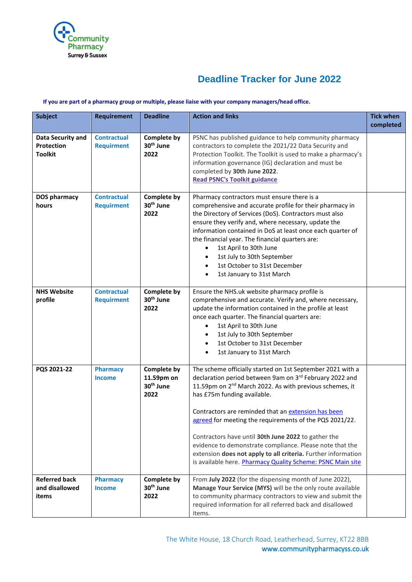

## **Deadline Tracker for June 2022**

## **If you are part of a pharmacy group or multiple, please liaise with your company managers/head office.**

| <b>Subject</b>                                           | <b>Requirement</b>                      | <b>Deadline</b>                                            | <b>Action and links</b>                                                                                                                                                                                                                                                                                                                                                                                                                                                                                                                                                                         | <b>Tick when</b><br>completed |
|----------------------------------------------------------|-----------------------------------------|------------------------------------------------------------|-------------------------------------------------------------------------------------------------------------------------------------------------------------------------------------------------------------------------------------------------------------------------------------------------------------------------------------------------------------------------------------------------------------------------------------------------------------------------------------------------------------------------------------------------------------------------------------------------|-------------------------------|
| Data Security and<br><b>Protection</b><br><b>Toolkit</b> | <b>Contractual</b><br><b>Requirment</b> | Complete by<br>30 <sup>th</sup> June<br>2022               | PSNC has published guidance to help community pharmacy<br>contractors to complete the 2021/22 Data Security and<br>Protection Toolkit. The Toolkit is used to make a pharmacy's<br>information governance (IG) declaration and must be<br>completed by 30th June 2022.<br><b>Read PSNC's Toolkit guidance</b>                                                                                                                                                                                                                                                                                   |                               |
| <b>DOS pharmacy</b><br>hours                             | <b>Contractual</b><br><b>Requirment</b> | <b>Complete by</b><br>30 <sup>th</sup> June<br>2022        | Pharmacy contractors must ensure there is a<br>comprehensive and accurate profile for their pharmacy in<br>the Directory of Services (DoS). Contractors must also<br>ensure they verify and, where necessary, update the<br>information contained in DoS at least once each quarter of<br>the financial year. The financial quarters are:<br>1st April to 30th June<br>1st July to 30th September<br>1st October to 31st December<br>$\bullet$<br>1st January to 31st March<br>$\bullet$                                                                                                        |                               |
| <b>NHS Website</b><br>profile                            | <b>Contractual</b><br><b>Requirment</b> | <b>Complete by</b><br>30 <sup>th</sup> June<br>2022        | Ensure the NHS.uk website pharmacy profile is<br>comprehensive and accurate. Verify and, where necessary,<br>update the information contained in the profile at least<br>once each quarter. The financial quarters are:<br>1st April to 30th June<br>1st July to 30th September<br>1st October to 31st December<br>$\bullet$<br>1st January to 31st March                                                                                                                                                                                                                                       |                               |
| PQS 2021-22                                              | <b>Pharmacy</b><br><b>Income</b>        | Complete by<br>11.59pm on<br>30 <sup>th</sup> June<br>2022 | The scheme officially started on 1st September 2021 with a<br>declaration period between 9am on 3rd February 2022 and<br>11.59pm on 2 <sup>nd</sup> March 2022. As with previous schemes, it<br>has £75m funding available.<br>Contractors are reminded that an extension has been<br>agreed for meeting the requirements of the PQS 2021/22.<br>Contractors have until 30th June 2022 to gather the<br>evidence to demonstrate compliance. Please note that the<br>extension does not apply to all criteria. Further information<br>is available here. Pharmacy Quality Scheme: PSNC Main site |                               |
| <b>Referred back</b><br>and disallowed<br>items          | <b>Pharmacy</b><br><b>Income</b>        | <b>Complete by</b><br>30 <sup>th</sup> June<br>2022        | From July 2022 (for the dispensing month of June 2022),<br>Manage Your Service (MYS) will be the only route available<br>to community pharmacy contractors to view and submit the<br>required information for all referred back and disallowed<br>items.                                                                                                                                                                                                                                                                                                                                        |                               |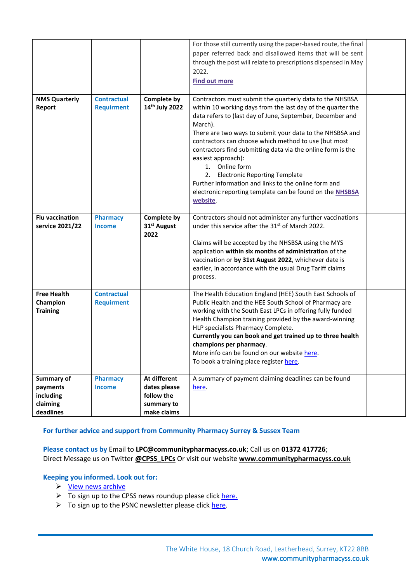|                                                              |                                         |                                                                         | For those still currently using the paper-based route, the final<br>paper referred back and disallowed items that will be sent<br>through the post will relate to prescriptions dispensed in May<br>2022.<br><b>Find out more</b>                                                                                                                                                                                                                                                                                                                                                                     |  |
|--------------------------------------------------------------|-----------------------------------------|-------------------------------------------------------------------------|-------------------------------------------------------------------------------------------------------------------------------------------------------------------------------------------------------------------------------------------------------------------------------------------------------------------------------------------------------------------------------------------------------------------------------------------------------------------------------------------------------------------------------------------------------------------------------------------------------|--|
| <b>NMS Quarterly</b><br>Report                               | <b>Contractual</b><br><b>Requirment</b> | <b>Complete by</b><br>14 <sup>th</sup> July 2022                        | Contractors must submit the quarterly data to the NHSBSA<br>within 10 working days from the last day of the quarter the<br>data refers to (last day of June, September, December and<br>March).<br>There are two ways to submit your data to the NHSBSA and<br>contractors can choose which method to use (but most<br>contractors find submitting data via the online form is the<br>easiest approach):<br>1. Online form<br>2. Electronic Reporting Template<br>Further information and links to the online form and<br>electronic reporting template can be found on the <b>NHSBSA</b><br>website. |  |
| <b>Flu vaccination</b><br>service 2021/22                    | <b>Pharmacy</b><br><b>Income</b>        | <b>Complete by</b><br>31 <sup>st</sup> August<br>2022                   | Contractors should not administer any further vaccinations<br>under this service after the 31 <sup>st</sup> of March 2022.<br>Claims will be accepted by the NHSBSA using the MYS<br>application within six months of administration of the<br>vaccination or by 31st August 2022, whichever date is<br>earlier, in accordance with the usual Drug Tariff claims<br>process.                                                                                                                                                                                                                          |  |
| <b>Free Health</b><br>Champion<br><b>Training</b>            | <b>Contractual</b><br><b>Requirment</b> |                                                                         | The Health Education England (HEE) South East Schools of<br>Public Health and the HEE South School of Pharmacy are<br>working with the South East LPCs in offering fully funded<br>Health Champion training provided by the award-winning<br>HLP specialists Pharmacy Complete.<br>Currently you can book and get trained up to three health<br>champions per pharmacy.<br>More info can be found on our website here.<br>To book a training place register here.                                                                                                                                     |  |
| Summary of<br>payments<br>including<br>claiming<br>deadlines | <b>Pharmacy</b><br><b>Income</b>        | At different<br>dates please<br>follow the<br>summary to<br>make claims | A summary of payment claiming deadlines can be found<br>here.                                                                                                                                                                                                                                                                                                                                                                                                                                                                                                                                         |  |

## **For further advice and support from Community Pharmacy Surrey & Sussex Team**

**Please contact us by** Email to **[LPC@communitypharmacyss.co.uk](mailto:LPC@communitypharmacyss.co.uk)**; Call us on **[01372 417726](tel:01372%20417726)**; Direct Message us on Twitter **[@CPSS\\_LPCs](https://twitter.com/CPSS_LPCs)** Or visit our website **[www.communitypharmacyss.co.uk](http://www.communitypharmacyss.co.uk/)**

**Keeping you informed. Look out for:**

- ➢ [View news archive](http://communitypharmacyss.co.uk/about-us/cpss-newsletters/)
- $\triangleright$  To sign up to the CPSS news roundup please click [here.](https://communitypharmacyss.us20.list-manage.com/subscribe?u=1f413100f8db29eb63fc4d84f&id=59b0e71d8a)
- ➢ To sign up to the PSNC newsletter please clic[k here.](https://psnc.org.uk/latest-news/email-sign-up/)